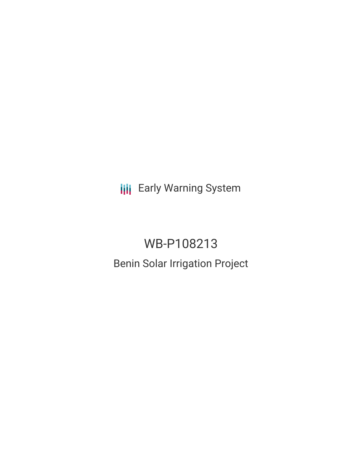**III** Early Warning System

# WB-P108213 Benin Solar Irrigation Project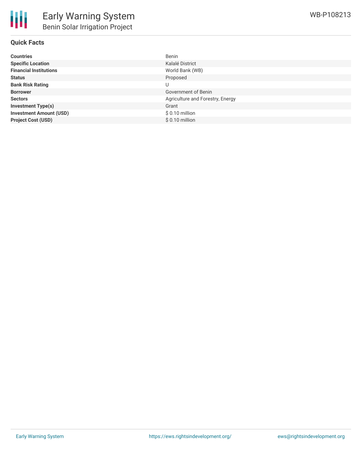## **Quick Facts**

| <b>Countries</b>               | Benin                            |
|--------------------------------|----------------------------------|
| <b>Specific Location</b>       | Kalalé District                  |
| <b>Financial Institutions</b>  | World Bank (WB)                  |
| <b>Status</b>                  | Proposed                         |
| <b>Bank Risk Rating</b>        | U                                |
| <b>Borrower</b>                | Government of Benin              |
| <b>Sectors</b>                 | Agriculture and Forestry, Energy |
| <b>Investment Type(s)</b>      | Grant                            |
| <b>Investment Amount (USD)</b> | $$0.10$ million                  |
| <b>Project Cost (USD)</b>      | $$0.10$ million                  |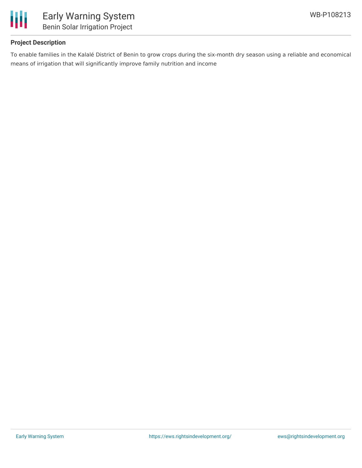

## **Project Description**

To enable families in the Kalalé District of Benin to grow crops during the six-month dry season using a reliable and economical means of irrigation that will significantly improve family nutrition and income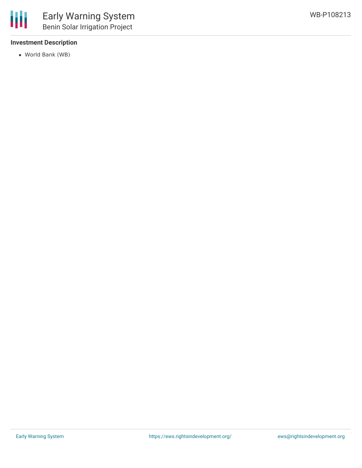### **Investment Description**

World Bank (WB)